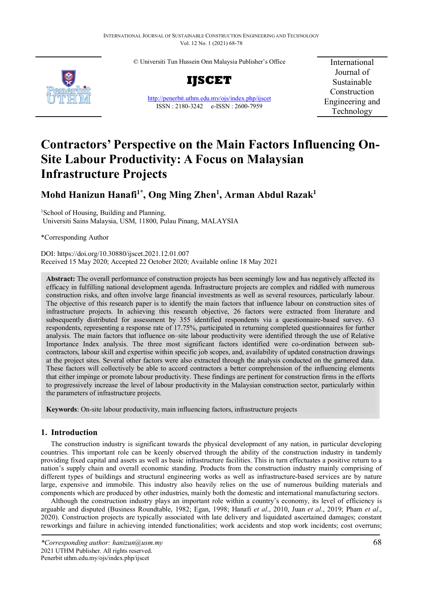© Universiti Tun Hussein Onn Malaysia Publisher's Office



**IJSCET**

<http://penerbit.uthm.edu.my/ojs/index.php/ijscet> ISSN : 2180-3242 e-ISSN : 2600-7959

International Journal of Sustainable Construction Engineering and Technology

# **Contractors' Perspective on the Main Factors Influencing On-Site Labour Productivity: A Focus on Malaysian Infrastructure Projects**

## **Mohd Hanizun Hanafi1\* , Ong Ming Zhen1 , Arman Abdul Razak1**

<sup>1</sup>School of Housing, Building and Planning, Universiti Sains Malaysia, USM, 11800, Pulau Pinang, MALAYSIA

\*Corresponding Author

DOI: https://doi.org/10.30880/ijscet.2021.12.01.007 Received 15 May 2020; Accepted 22 October 2020; Available online 18 May 2021

**Abstract:** The overall performance of construction projects has been seemingly low and has negatively affected its efficacy in fulfilling national development agenda. Infrastructure projects are complex and riddled with numerous construction risks, and often involve large financial investments as well as several resources, particularly labour. The objective of this research paper is to identify the main factors that influence labour on construction sites of infrastructure projects. In achieving this research objective, 26 factors were extracted from literature and subsequently distributed for assessment by 355 identified respondents via a questionnaire-based survey. 63 respondents, representing a response rate of 17.75%, participated in returning completed questionnaires for further analysis. The main factors that influence on–site labour productivity were identified through the use of Relative Importance Index analysis. The three most significant factors identified were co-ordination between subcontractors, labour skill and expertise within specific job scopes, and, availability of updated construction drawings at the project sites. Several other factors were also extracted through the analysis conducted on the garnered data. These factors will collectively be able to accord contractors a better comprehension of the influencing elements that either impinge or promote labour productivity. These findings are pertinent for construction firms in the efforts to progressively increase the level of labour productivity in the Malaysian construction sector, particularly within the parameters of infrastructure projects.

**Keywords**: On-site labour productivity, main influencing factors, infrastructure projects

## **1. Introduction**

The construction industry is significant towards the physical development of any nation, in particular developing countries. This important role can be keenly observed through the ability of the construction industry in tandemly providing fixed capital and assets as well as basic infrastructure facilities. This in turn effectuates a positive return to a nation's supply chain and overall economic standing. Products from the construction industry mainly comprising of different types of buildings and structural engineering works as well as infrastructure-based services are by nature large, expensive and immobile. This industry also heavily relies on the use of numerous building materials and components which are produced by other industries, mainly both the domestic and international manufacturing sectors.

Although the construction industry plays an important role within a country's economy, its level of efficiency is arguable and disputed (Business Roundtable, 1982; Egan, 1998; Hanafi *et al*., 2010, Juan *et al*., 2019; Pham *et al*., 2020). Construction projects are typically associated with late delivery and liquidated ascertained damages; constant reworkings and failure in achieving intended functionalities; work accidents and stop work incidents; cost overruns;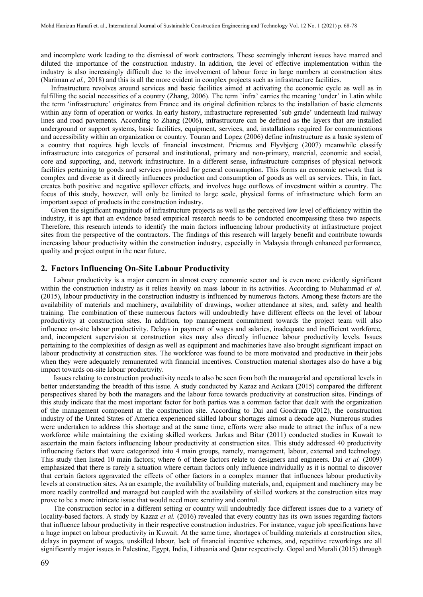and incomplete work leading to the dismissal of work contractors. These seemingly inherent issues have marred and diluted the importance of the construction industry. In addition, the level of effective implementation within the industry is also increasingly difficult due to the involvement of labour force in large numbers at construction sites (Nariman *et al.,* 2018) and this is all the more evident in complex projects such as infrastructure facilities.

Infrastructure revolves around services and basic facilities aimed at activating the economic cycle as well as in fulfilling the social necessities of a country (Zhang, 2006). The term `infra' carries the meaning 'under' in Latin while the term 'infrastructure' originates from France and its original definition relates to the installation of basic elements within any form of operation or works. In early history, infrastructure represented `sub grade' underneath laid railway lines and road pavements. According to Zhang (2006), infrastructure can be defined as the layers that are installed underground or support systems, basic facilities, equipment, services, and, installations required for communications and accessibility within an organization or country. Touran and Lopez (2006) define infrastructure as a basic system of a country that requires high levels of financial investment. Priemus and Flyvbjerg (2007) meanwhile classify infrastructure into categories of personal and institutional, primary and non-primary, material, economic and social, core and supporting, and, network infrastructure. In a different sense, infrastructure comprises of physical network facilities pertaining to goods and services provided for general consumption. This forms an economic network that is complex and diverse as it directly influences production and consumption of goods as well as services. This, in fact, creates both positive and negative spillover effects, and involves huge outflows of investment within a country. The focus of this study, however, will only be limited to large scale, physical forms of infrastructure which form an important aspect of products in the construction industry.

Given the significant magnitude of infrastructure projects as well as the perceived low level of efficiency within the industry, it is apt that an evidence based empirical research needs to be conducted encompassing these two aspects. Therefore, this research intends to identify the main factors influencing labour productivity at infrastructure project sites from the perspective of the contractors. The findings of this research will largely benefit and contribute towards increasing labour productivity within the construction industry, especially in Malaysia through enhanced performance, quality and project output in the near future.

## **2. Factors Influencing On-Site Labour Productivity**

Labour productivity is a major concern in almost every economic sector and is even more evidently significant within the construction industry as it relies heavily on mass labour in its activities. According to Muhammad *et al.* (2015), labour productivity in the construction industry is influenced by numerous factors. Among these factors are the availability of materials and machinery, availability of drawings, worker attendance at sites, and, safety and health training. The combination of these numerous factors will undoubtedly have different effects on the level of labour productivity at construction sites. In addition, top management commitment towards the project team will also influence on-site labour productivity. Delays in payment of wages and salaries, inadequate and inefficient workforce, and, incompetent supervision at construction sites may also directly influence labour productivity levels. Issues pertaining to the complexities of design as well as equipment and machineries have also brought significant impact on labour productivity at construction sites. The workforce was found to be more motivated and productive in their jobs when they were adequately remunerated with financial incentives. Construction material shortages also do have a big impact towards on-site labour productivity.

Issues relating to construction productivity needs to also be seen from both the managerial and operational levels in better understanding the breadth of this issue. A study conducted by Kazaz and Acıkara (2015) compared the different perspectives shared by both the managers and the labour force towards productivity at construction sites. Findings of this study indicate that the most important factor for both parties was a common factor that dealt with the organization of the management component at the construction site. According to Dai and Goodrum (2012), the construction industry of the United States of America experienced skilled labour shortages almost a decade ago. Numerous studies were undertaken to address this shortage and at the same time, efforts were also made to attract the influx of a new workforce while maintaining the existing skilled workers. Jarkas and Bitar (2011) conducted studies in Kuwait to ascertain the main factors influencing labour productivity at construction sites. This study addressed 40 productivity influencing factors that were categorized into 4 main groups, namely, management, labour, external and technology. This study then listed 10 main factors; where 6 of these factors relate to designers and engineers. Dai *et al.* (2009) emphasized that there is rarely a situation where certain factors only influence individually as it is normal to discover that certain factors aggravated the effects of other factors in a complex manner that influences labour productivity levels at construction sites. As an example, the availability of building materials, and, equipment and machinery may be more readily controlled and managed but coupled with the availability of skilled workers at the construction sites may prove to be a more intricate issue that would need more scrutiny and control.

The construction sector in a different setting or country will undoubtedly face different issues due to a variety of locality-based factors. A study by Kazaz *et al.* (2016) revealed that every country has its own issues regarding factors that influence labour productivity in their respective construction industries. For instance, vague job specifications have a huge impact on labour productivity in Kuwait. At the same time, shortages of building materials at construction sites, delays in payment of wages, unskilled labour, lack of financial incentive schemes, and, repetitive reworkings are all significantly major issues in Palestine, Egypt, India, Lithuania and Qatar respectively. Gopal and Murali (2015) through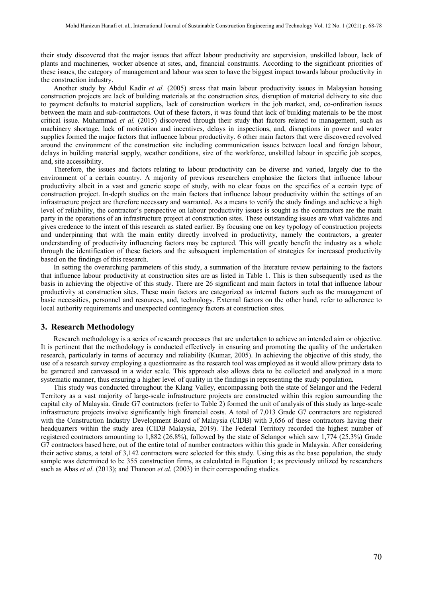their study discovered that the major issues that affect labour productivity are supervision, unskilled labour, lack of plants and machineries, worker absence at sites, and, financial constraints. According to the significant priorities of these issues, the category of management and labour was seen to have the biggest impact towards labour productivity in the construction industry.

Another study by Abdul Kadir *et al.* (2005) stress that main labour productivity issues in Malaysian housing construction projects are lack of building materials at the construction sites, disruption of material delivery to site due to payment defaults to material suppliers, lack of construction workers in the job market, and, co-ordination issues between the main and sub-contractors. Out of these factors, it was found that lack of building materials to be the most critical issue. Muhammad *et al.* (2015) discovered through their study that factors related to management, such as machinery shortage, lack of motivation and incentives, delays in inspections, and, disruptions in power and water supplies formed the major factors that influence labour productivity. 6 other main factors that were discovered revolved around the environment of the construction site including communication issues between local and foreign labour, delays in building material supply, weather conditions, size of the workforce, unskilled labour in specific job scopes, and, site accessibility.

Therefore, the issues and factors relating to labour productivity can be diverse and varied, largely due to the environment of a certain country. A majority of previous researchers emphasize the factors that influence labour productivity albeit in a vast and generic scope of study, with no clear focus on the specifics of a certain type of construction project. In-depth studies on the main factors that influence labour productivity within the settings of an infrastructure project are therefore necessary and warranted. As a means to verify the study findings and achieve a high level of reliability, the contractor's perspective on labour productivity issues is sought as the contractors are the main party in the operations of an infrastructure project at construction sites. These outstanding issues are what validates and gives credence to the intent of this research as stated earlier. By focusing one on key typology of construction projects and underpinning that with the main entity directly involved in productivity, namely the contractors, a greater understanding of productivity influencing factors may be captured. This will greatly benefit the industry as a whole through the identification of these factors and the subsequent implementation of strategies for increased productivity based on the findings of this research.

In setting the overarching parameters of this study, a summation of the literature review pertaining to the factors that influence labour productivity at construction sites are as listed in Table 1. This is then subsequently used as the basis in achieving the objective of this study. There are 26 significant and main factors in total that influence labour productivity at construction sites. These main factors are categorized as internal factors such as the management of basic necessities, personnel and resources, and, technology. External factors on the other hand, refer to adherence to local authority requirements and unexpected contingency factors at construction sites.

#### **3. Research Methodology**

Research methodology is a series of research processes that are undertaken to achieve an intended aim or objective. It is pertinent that the methodology is conducted effectively in ensuring and promoting the quality of the undertaken research, particularly in terms of accuracy and reliability (Kumar, 2005). In achieving the objective of this study, the use of a research survey employing a questionnaire as the research tool was employed as it would allow primary data to be garnered and canvassed in a wider scale. This approach also allows data to be collected and analyzed in a more systematic manner, thus ensuring a higher level of quality in the findings in representing the study population.

This study was conducted throughout the Klang Valley, encompassing both the state of Selangor and the Federal Territory as a vast majority of large-scale infrastructure projects are constructed within this region surrounding the capital city of Malaysia. Grade G7 contractors (refer to Table 2) formed the unit of analysis of this study as large-scale infrastructure projects involve significantly high financial costs. A total of 7,013 Grade G7 contractors are registered with the Construction Industry Development Board of Malaysia (CIDB) with 3,656 of these contractors having their headquarters within the study area (CIDB Malaysia, 2019). The Federal Territory recorded the highest number of registered contractors amounting to 1,882 (26.8%), followed by the state of Selangor which saw 1,774 (25.3%) Grade G7 contractors based here, out of the entire total of number contractors within this grade in Malaysia. After considering their active status, a total of 3,142 contractors were selected for this study. Using this as the base population, the study sample was determined to be 355 construction firms, as calculated in Equation 1; as previously utilized by researchers such as Abas *et al*. (2013); and Thanoon *et al*. (2003) in their corresponding studies.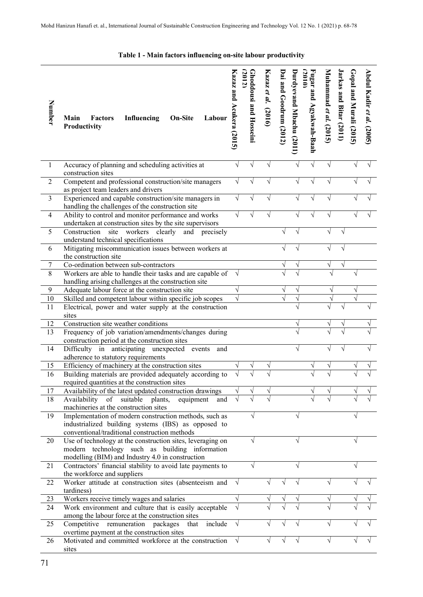|  |  |  |  |  |  |  |  | Table 1 - Main factors influencing on-site labour productivity |  |
|--|--|--|--|--|--|--|--|----------------------------------------------------------------|--|
|--|--|--|--|--|--|--|--|----------------------------------------------------------------|--|

| Number           | Influencing<br><b>On-Site</b><br><b>Factors</b><br>Labour<br>Main<br>Productivity                                                                             | Kazaz and Acukera (2015) | (2012)<br><b>Ghoddousi and Hosseini</b> | Kazaz et al. (2016) | Dai and Goodrum (2012) | Durdyevand Mbachu (2011) | Fugar and Agyakwah-Baah<br>(2010) | Muhammad et al. (2015) | Jarkas and Bitar (2011) | $\text{Gopal and Murali}$ (2015) | Abdul Kadir et al. (2005) |
|------------------|---------------------------------------------------------------------------------------------------------------------------------------------------------------|--------------------------|-----------------------------------------|---------------------|------------------------|--------------------------|-----------------------------------|------------------------|-------------------------|----------------------------------|---------------------------|
| 1                | Accuracy of planning and scheduling activities at<br>construction sites                                                                                       | V                        |                                         |                     |                        |                          | $\sqrt{}$                         |                        |                         |                                  |                           |
| $\overline{2}$   | Competent and professional construction/site managers<br>as project team leaders and drivers                                                                  | V                        |                                         |                     |                        |                          |                                   |                        |                         |                                  |                           |
| $\overline{3}$   | Experienced and capable construction/site managers in<br>handling the challenges of the construction site                                                     | V                        |                                         |                     |                        |                          |                                   |                        |                         |                                  |                           |
| $\overline{4}$   | Ability to control and monitor performance and works<br>undertaken at construction sites by the site supervisors                                              |                          |                                         |                     |                        |                          |                                   |                        |                         |                                  |                           |
| 5                | Construction<br>site workers clearly<br>and precisely<br>understand technical specifications                                                                  |                          |                                         |                     |                        |                          |                                   |                        |                         |                                  |                           |
| 6                | Mitigating miscommunication issues between workers at<br>the construction site                                                                                |                          |                                         |                     |                        |                          |                                   |                        |                         |                                  |                           |
| $\boldsymbol{7}$ | Co-ordination between sub-contractors                                                                                                                         |                          |                                         |                     |                        |                          |                                   |                        |                         |                                  |                           |
| 8                | Workers are able to handle their tasks and are capable of<br>handling arising challenges at the construction site                                             |                          |                                         |                     |                        |                          |                                   |                        |                         |                                  |                           |
| 9                | Adequate labour force at the construction site                                                                                                                |                          |                                         |                     |                        |                          |                                   |                        |                         |                                  |                           |
| 10               | Skilled and competent labour within specific job scopes                                                                                                       |                          |                                         |                     |                        |                          |                                   |                        |                         |                                  |                           |
| 11               | Electrical, power and water supply at the construction<br>sites                                                                                               |                          |                                         |                     |                        |                          |                                   |                        |                         |                                  |                           |
| 12               | Construction site weather conditions                                                                                                                          |                          |                                         |                     |                        |                          |                                   |                        | V                       |                                  |                           |
| 13               | Frequency of job variation/amendments/changes during<br>construction period at the construction sites                                                         |                          |                                         |                     |                        |                          |                                   |                        |                         |                                  |                           |
| 14               | Difficulty in anticipating unexpected events<br>and<br>adherence to statutory requirements                                                                    |                          |                                         |                     |                        | V                        |                                   |                        |                         |                                  |                           |
| 15               | Efficiency of machinery at the construction sites                                                                                                             |                          |                                         |                     |                        |                          |                                   |                        |                         |                                  |                           |
| 16               | Building materials are provided adequately according to<br>required quantities at the construction sites                                                      |                          |                                         |                     |                        |                          |                                   |                        |                         |                                  |                           |
| 17               | Availability of the latest updated construction drawings                                                                                                      |                          |                                         |                     |                        |                          |                                   |                        |                         |                                  |                           |
| 18               | Availability of suitable plants,<br>equipment<br>and                                                                                                          |                          |                                         |                     |                        |                          |                                   |                        |                         |                                  |                           |
| 19               | machineries at the construction sites<br>Implementation of modern construction methods, such as<br>industrialized building systems (IBS) as opposed to        |                          | V                                       |                     |                        |                          |                                   |                        |                         |                                  |                           |
| 20               | conventional/traditional construction methods<br>Use of technology at the construction sites, leveraging on<br>modern technology such as building information |                          |                                         |                     |                        |                          |                                   |                        |                         |                                  |                           |
| 21               | modelling (BIM) and Industry 4.0 in construction<br>Contractors' financial stability to avoid late payments to                                                |                          | J                                       |                     |                        |                          |                                   |                        |                         |                                  |                           |
|                  | the workforce and suppliers                                                                                                                                   |                          |                                         |                     |                        |                          |                                   |                        |                         |                                  |                           |
| 22               | Worker attitude at construction sites (absenteeism and<br>tardiness)                                                                                          |                          |                                         |                     |                        |                          |                                   |                        |                         |                                  |                           |
| 23               | Workers receive timely wages and salaries                                                                                                                     |                          |                                         |                     |                        |                          |                                   |                        |                         |                                  |                           |
| 24               | Work environment and culture that is easily acceptable<br>among the labour force at the construction sites                                                    |                          |                                         |                     |                        |                          |                                   |                        |                         |                                  |                           |
| 25               | include<br>Competitive remuneration packages<br>that<br>overtime payment at the construction sites                                                            |                          |                                         |                     |                        |                          |                                   |                        |                         |                                  |                           |
| 26               | Motivated and committed workforce at the construction<br>sites                                                                                                |                          |                                         |                     |                        |                          |                                   |                        |                         |                                  |                           |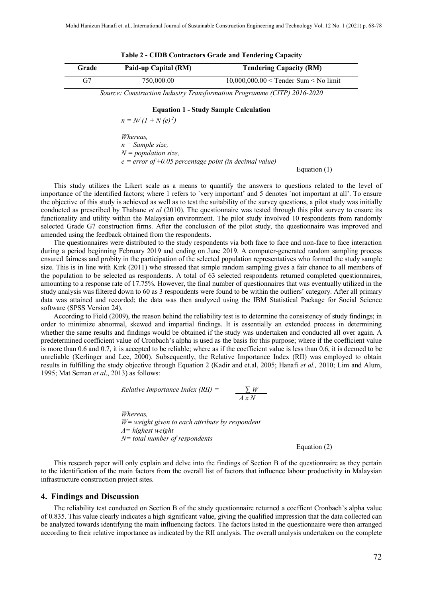| Grade | Paid-up Capital (RM) | <b>Tendering Capacity (RM)</b>            |  |  |  |  |  |
|-------|----------------------|-------------------------------------------|--|--|--|--|--|
|       | 750,000.00           | $10,000,000.00 <$ Tender Sum $<$ No limit |  |  |  |  |  |

|  |  | Table 2 - CIDB Contractors Grade and Tendering Capacity |  |  |  |  |
|--|--|---------------------------------------------------------|--|--|--|--|
|--|--|---------------------------------------------------------|--|--|--|--|

*Source: Construction Industry Transformation Programme (CITP) 2016-2020*

#### **Equation 1 - Study Sample Calculation**

 $n = N/(1 + N(e)^2)$ 

*Whereas, n = Sample size, N = population size, e = error of ±0.05 percentage point (in decimal value)*

Equation (1)

This study utilizes the Likert scale as a means to quantify the answers to questions related to the level of importance of the identified factors; where 1 refers to `very important' and 5 denotes `not important at all'. To ensure the objective of this study is achieved as well as to test the suitability of the survey questions, a pilot study was initially conducted as prescribed by Thabane *et al* (2010). The questionnaire was tested through this pilot survey to ensure its functionality and utility within the Malaysian environment. The pilot study involved 10 respondents from randomly selected Grade G7 construction firms. After the conclusion of the pilot study, the questionnaire was improved and amended using the feedback obtained from the respondents.

The questionnaires were distributed to the study respondents via both face to face and non-face to face interaction during a period beginning February 2019 and ending on June 2019. A computer-generated random sampling process ensured fairness and probity in the participation of the selected population representatives who formed the study sample size. This is in line with Kirk (2011) who stressed that simple random sampling gives a fair chance to all members of the population to be selected as respondents. A total of 63 selected respondents returned completed questionnaires, amounting to a response rate of 17.75%. However, the final number of questionnaires that was eventually utilized in the study analysis was filtered down to 60 as 3 respondents were found to be within the outliers' category. After all primary data was attained and recorded; the data was then analyzed using the IBM Statistical Package for Social Science software (SPSS Version 24).

According to Field (2009), the reason behind the reliability test is to determine the consistency of study findings; in order to minimize abnormal, skewed and impartial findings. It is essentially an extended process in determining whether the same results and findings would be obtained if the study was undertaken and conducted all over again. A predetermined coefficient value of Cronbach's alpha is used as the basis for this purpose; where if the coefficient value is more than 0.6 and 0.7, it is accepted to be reliable; where as if the coefficient value is less than 0.6, it is deemed to be unreliable (Kerlinger and Lee, 2000). Subsequently, the Relative Importance Index (RII) was employed to obtain results in fulfilling the study objective through Equation 2 (Kadir and et.al, 2005; Hanafi *et al.,* 2010; Lim and Alum, 1995; Mat Seman *et al*., 2013) as follows:

Relative Importance Index (RII) = 
$$
\frac{\sum W}{A \times N}
$$

*Whereas, W= weight given to each attribute by respondent A= highest weight N= total number of respondents*

Equation (2)

This research paper will only explain and delve into the findings of Section B of the questionnaire as they pertain to the identification of the main factors from the overall list of factors that influence labour productivity in Malaysian infrastructure construction project sites.

#### **4. Findings and Discussion**

The reliability test conducted on Section B of the study questionnaire returned a coeffient Cronbach's alpha value of 0.835. This value clearly indicates a high significant value, giving the qualified impression that the data collected can be analyzed towards identifying the main influencing factors. The factors listed in the questionnaire were then arranged according to their relative importance as indicated by the RII analysis. The overall analysis undertaken on the complete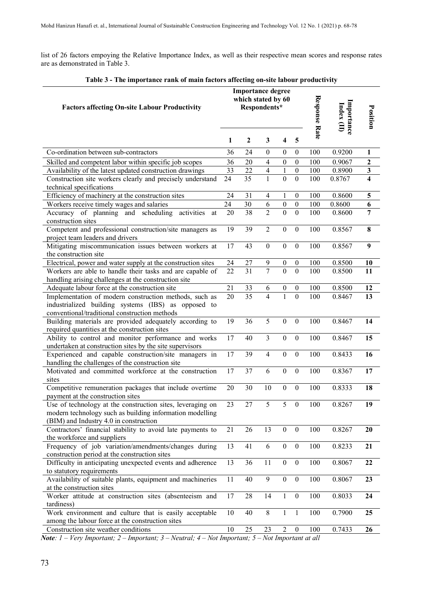list of 26 factors empoying the Relative Importance Index, as well as their respective mean scores and response rates are as demonstrated in Table 3.

| $\sim$ 1 nc mipol tance raine or main factors arrecting on-site fabour productivity                           |              | <b>Importance degree</b><br>which stated by 60 |                               |                                  |                                    |                            |                  |                         |
|---------------------------------------------------------------------------------------------------------------|--------------|------------------------------------------------|-------------------------------|----------------------------------|------------------------------------|----------------------------|------------------|-------------------------|
| <b>Factors affecting On-site Labour Productivity</b>                                                          |              | Respondents*                                   |                               |                                  | <b>Response Rate</b>               | Importance<br>Index $(II)$ | Position         |                         |
|                                                                                                               | $\mathbf{1}$ | $\boldsymbol{2}$                               | 3                             | 4                                | 5                                  |                            |                  |                         |
| Co-ordination between sub-contractors                                                                         | 36           | 24                                             | $\boldsymbol{0}$              | $\boldsymbol{0}$                 | $\boldsymbol{0}$                   | 100                        | 0.9200           | 1                       |
| Skilled and competent labor within specific job scopes                                                        | 36           | 20                                             | $\overline{4}$                | $\boldsymbol{0}$                 | $\boldsymbol{0}$                   | 100                        | 0.9067           | $\boldsymbol{2}$        |
| Availability of the latest updated construction drawings                                                      | 33           | 22                                             | $\overline{\mathbf{4}}$       | $\mathbf{1}$                     | $\boldsymbol{0}$                   | 100                        | 0.8900           | $\mathbf{3}$            |
| Construction site workers clearly and precisely understand                                                    | 24           | $\overline{35}$                                | $\mathbf{1}$                  | $\overline{0}$                   | $\overline{0}$                     | 100                        | 0.8767           | $\overline{\mathbf{4}}$ |
| technical specifications                                                                                      |              |                                                |                               |                                  |                                    |                            |                  |                         |
| Efficiency of machinery at the construction sites                                                             | 24           | 31                                             | $\overline{4}$                | $\mathbf{1}$                     | $\boldsymbol{0}$                   | 100                        | 0.8600           | $\overline{\mathbf{5}}$ |
| Workers receive timely wages and salaries                                                                     | 24           | 30                                             | 6                             | $\boldsymbol{0}$                 | $\boldsymbol{0}$                   | 100                        | 0.8600           | 6                       |
| Accuracy of planning and scheduling activities<br>at                                                          | 20           | 38                                             | $\overline{2}$                | $\overline{0}$                   | $\overline{0}$                     | 100                        | 0.8600           | $\overline{7}$          |
| construction sites                                                                                            |              |                                                |                               |                                  |                                    |                            |                  |                         |
| Competent and professional construction/site managers as                                                      | 19           | 39                                             | $\overline{2}$                | $\boldsymbol{0}$                 | $\boldsymbol{0}$                   | 100                        | 0.8567           | 8                       |
| project team leaders and drivers                                                                              |              |                                                |                               |                                  |                                    |                            |                  |                         |
| Mitigating miscommunication issues between workers at                                                         | 17           | 43                                             | $\mathbf{0}$                  | $\theta$                         | $\boldsymbol{0}$                   | 100                        | 0.8567           | 9                       |
| the construction site                                                                                         |              |                                                |                               |                                  |                                    |                            |                  |                         |
| Electrical, power and water supply at the construction sites                                                  | 24           | 27                                             | 9                             | $\boldsymbol{0}$                 | $\boldsymbol{0}$                   | 100                        | 0.8500           | 10                      |
| Workers are able to handle their tasks and are capable of                                                     | 22           | 31                                             | 7                             | $\overline{0}$                   | $\mathbf{0}$                       | 100                        | 0.8500           | 11                      |
| handling arising challenges at the construction site                                                          |              |                                                |                               |                                  |                                    |                            |                  |                         |
| Adequate labour force at the construction site                                                                | 21<br>20     | 33<br>35                                       | 6<br>$\overline{\mathcal{L}}$ | $\boldsymbol{0}$<br>$\mathbf{1}$ | $\boldsymbol{0}$<br>$\overline{0}$ | 100<br>100                 | 0.8500<br>0.8467 | 12<br>13                |
| Implementation of modern construction methods, such as<br>industrialized building systems (IBS) as opposed to |              |                                                |                               |                                  |                                    |                            |                  |                         |
| conventional/traditional construction methods                                                                 |              |                                                |                               |                                  |                                    |                            |                  |                         |
| Building materials are provided adequately according to                                                       | 19           | 36                                             | 5                             | $\mathbf{0}$                     | $\boldsymbol{0}$                   | 100                        | 0.8467           | 14                      |
| required quantities at the construction sites                                                                 |              |                                                |                               |                                  |                                    |                            |                  |                         |
| Ability to control and monitor performance and works                                                          | 17           | 40                                             | $\overline{3}$                | $\mathbf{0}$                     | $\boldsymbol{0}$                   | 100                        | 0.8467           | 15                      |
| undertaken at construction sites by the site supervisors                                                      |              |                                                |                               |                                  |                                    |                            |                  |                         |
| Experienced and capable construction/site managers in                                                         | 17           | 39                                             | $\overline{4}$                | $\boldsymbol{0}$                 | $\boldsymbol{0}$                   | 100                        | 0.8433           | 16                      |
| handling the challenges of the construction site                                                              |              |                                                |                               |                                  |                                    |                            |                  |                         |
| Motivated and committed workforce at the construction                                                         | 17           | 37                                             | 6                             | $\boldsymbol{0}$                 | $\mathbf{0}$                       | 100                        | 0.8367           | 17                      |
| sites                                                                                                         |              |                                                |                               |                                  |                                    |                            |                  |                         |
| Competitive remuneration packages that include overtime                                                       | 20           | 30                                             | 10                            | $\boldsymbol{0}$                 | $\boldsymbol{0}$                   | 100                        | 0.8333           | 18                      |
| payment at the construction sites                                                                             |              |                                                |                               |                                  |                                    |                            |                  |                         |
| Use of technology at the construction sites, leveraging on                                                    | 23           | 27                                             | 5                             | 5                                | $\boldsymbol{0}$                   | 100                        | 0.8267           | 19                      |
| modern technology such as building information modelling                                                      |              |                                                |                               |                                  |                                    |                            |                  |                         |
| (BIM) and Industry 4.0 in construction                                                                        |              |                                                |                               |                                  |                                    |                            |                  |                         |
| Contractors' financial stability to avoid late payments to                                                    | 21           | 26                                             | 13                            | $\boldsymbol{0}$                 | $\boldsymbol{0}$                   | 100                        | 0.8267           | 20                      |
| the workforce and suppliers                                                                                   | 13           | 41                                             | 6                             | $\boldsymbol{0}$                 | $\mathbf{0}$                       | 100                        | 0.8233           | 21                      |
| Frequency of job variation/amendments/changes during<br>construction period at the construction sites         |              |                                                |                               |                                  |                                    |                            |                  |                         |
| Difficulty in anticipating unexpected events and adherence                                                    | 13           | 36                                             | 11                            | $\boldsymbol{0}$                 | $\boldsymbol{0}$                   | 100                        | 0.8067           | 22                      |
| to statutory requirements                                                                                     |              |                                                |                               |                                  |                                    |                            |                  |                         |
| Availability of suitable plants, equipment and machineries                                                    | 11           | 40                                             | 9                             | $\mathbf{0}$                     | $\boldsymbol{0}$                   | 100                        | 0.8067           | 23                      |
| at the construction sites                                                                                     |              |                                                |                               |                                  |                                    |                            |                  |                         |
| Worker attitude at construction sites (absenteeism and                                                        | 17           | 28                                             | 14                            | $\mathbf{1}$                     | $\boldsymbol{0}$                   | 100                        | 0.8033           | 24                      |
| tardiness)                                                                                                    |              |                                                |                               |                                  |                                    |                            |                  |                         |
| Work environment and culture that is easily acceptable                                                        | 10           | 40                                             | $\,8\,$                       | $\mathbf{1}$                     | $\mathbf{1}$                       | 100                        | 0.7900           | 25                      |
| among the labour force at the construction sites                                                              |              |                                                |                               |                                  |                                    |                            |                  |                         |
| Construction site weather conditions                                                                          | 10           | 25                                             | 23                            | $\overline{c}$                   | $\boldsymbol{0}$                   | 100                        | 0.7433           | 26                      |

**Table 3 - The importance rank of main factors affecting on-site labour productivity** 

*Note: 1 – Very Important; 2 – Important; 3 – Neutral; 4 – Not Important; 5 – Not Important at all*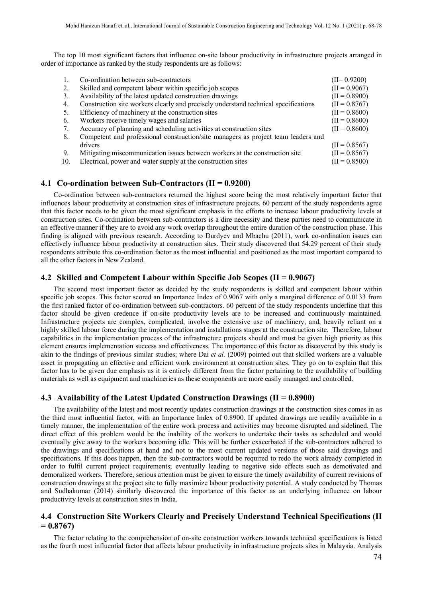The top 10 most significant factors that influence on-site labour productivity in infrastructure projects arranged in order of importance as ranked by the study respondents are as follows:

|     | Co-ordination between sub-contractors                                               | $(II=0.9200)$   |
|-----|-------------------------------------------------------------------------------------|-----------------|
| 2.  | Skilled and competent labour within specific job scopes                             | $(II = 0.9067)$ |
| 3.  | Availability of the latest updated construction drawings                            | $(II = 0.8900)$ |
| 4.  | Construction site workers clearly and precisely understand technical specifications | $(II = 0.8767)$ |
| 5.  | Efficiency of machinery at the construction sites                                   | $(II = 0.8600)$ |
| 6.  | Workers receive timely wages and salaries                                           | $(II = 0.8600)$ |
| 7.  | Accuracy of planning and scheduling activities at construction sites                | $(II = 0.8600)$ |
| 8.  | Competent and professional construction/site managers as project team leaders and   |                 |
|     | drivers                                                                             | $(II = 0.8567)$ |
| 9.  | Mitigating miscommunication issues between workers at the construction site         | $(II = 0.8567)$ |
| 10. | Electrical, power and water supply at the construction sites                        | $(II = 0.8500)$ |
|     |                                                                                     |                 |

## **4.1 Co-ordination between Sub-Contractors (II = 0.9200)**

Co-ordination between sub-contractors returned the highest score being the most relatively important factor that influences labour productivity at construction sites of infrastructure projects. 60 percent of the study respondents agree that this factor needs to be given the most significant emphasis in the efforts to increase labour productivity levels at construction sites. Co-ordination between sub-contractors is a dire necessity and these parties need to communicate in an effective manner if they are to avoid any work overlap throughout the entire duration of the construction phase. This finding is aligned with previous research. According to Durdyev and Mbachu (2011), work co-ordination issues can effectively influence labour productivity at construction sites. Their study discovered that 54.29 percent of their study respondents attribute this co-ordination factor as the most influential and positioned as the most important compared to all the other factors in New Zealand.

## **4.2 Skilled and Competent Labour within Specific Job Scopes (II = 0.9067)**

The second most important factor as decided by the study respondents is skilled and competent labour within specific job scopes. This factor scored an Importance Index of 0.9067 with only a marginal difference of 0.0133 from the first ranked factor of co-ordination between sub-contractors. 60 percent of the study respondents underline that this factor should be given credence if on-site productivity levels are to be increased and continuously maintained. Infrastructure projects are complex, complicated, involve the extensive use of machinery, and, heavily reliant on a highly skilled labour force during the implementation and installations stages at the construction site. Therefore, labour capabilities in the implementation process of the infrastructure projects should and must be given high priority as this element ensures implementation success and effectiveness. The importance of this factor as discovered by this study is akin to the findings of previous similar studies; where Dai *et al.* (2009) pointed out that skilled workers are a valuable asset in propagating an effective and efficient work environment at construction sites. They go on to explain that this factor has to be given due emphasis as it is entirely different from the factor pertaining to the availability of building materials as well as equipment and machineries as these components are more easily managed and controlled.

## **4.3 Availability of the Latest Updated Construction Drawings (II = 0.8900)**

The availability of the latest and most recently updates construction drawings at the construction sites comes in as the third most influential factor, with an Importance Index of 0.8900. If updated drawings are readily available in a timely manner, the implementation of the entire work process and activities may become disrupted and sidelined. The direct effect of this problem would be the inability of the workers to undertake their tasks as scheduled and would eventually give away to the workers becoming idle. This will be further exacerbated if the sub-contractors adhered to the drawings and specifications at hand and not to the most current updated versions of those said drawings and specifications. If this does happen, then the sub-contractors would be required to redo the work already completed in order to fulfil current project requirements; eventually leading to negative side effects such as demotivated and demoralized workers. Therefore, serious attention must be given to ensure the timely availability of current revisions of construction drawings at the project site to fully maximize labour productivity potential. A study conducted by Thomas and Sudhakumar (2014) similarly discovered the importance of this factor as an underlying influence on labour productivity levels at construction sites in India.

## **4.4 Construction Site Workers Clearly and Precisely Understand Technical Specifications (II = 0.8767)**

The factor relating to the comprehension of on-site construction workers towards technical specifications is listed as the fourth most influential factor that affects labour productivity in infrastructure projects sites in Malaysia. Analysis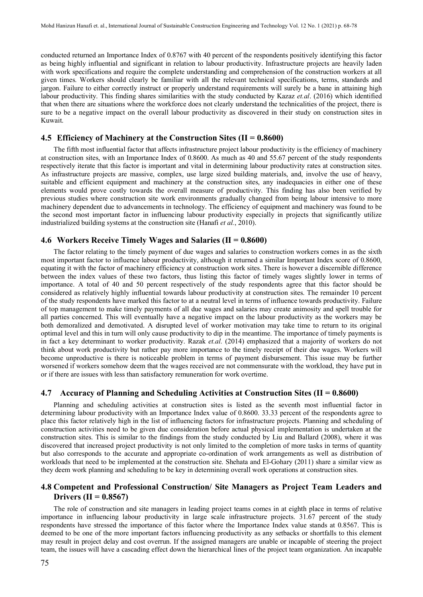conducted returned an Importance Index of 0.8767 with 40 percent of the respondents positively identifying this factor as being highly influential and significant in relation to labour productivity. Infrastructure projects are heavily laden with work specifications and require the complete understanding and comprehension of the construction workers at all given times. Workers should clearly be familiar with all the relevant technical specifications, terms, standards and jargon. Failure to either correctly instruct or properly understand requirements will surely be a bane in attaining high labour productivity. This finding shares similarities with the study conducted by Kazaz *et.al*. (2016) which identified that when there are situations where the workforce does not clearly understand the technicalities of the project, there is sure to be a negative impact on the overall labour productivity as discovered in their study on construction sites in Kuwait.

## **4.5 Efficiency of Machinery at the Construction Sites (II = 0.8600)**

The fifth most influential factor that affects infrastructure project labour productivity is the efficiency of machinery at construction sites, with an Importance Index of 0.8600. As much as 40 and 55.67 percent of the study respondents respectively iterate that this factor is important and vital in determining labour productivity rates at construction sites. As infrastructure projects are massive, complex, use large sized building materials, and, involve the use of heavy, suitable and efficient equipment and machinery at the construction sites, any inadequacies in either one of these elements would prove costly towards the overall measure of productivity. This finding has also been verified by previous studies where construction site work environments gradually changed from being labour intensive to more machinery dependent due to advancements in technology. The efficiency of equipment and machinery was found to be the second most important factor in influencing labour productivity especially in projects that significantly utilize industrialized building systems at the construction site (Hanafi *et al.*, 2010).

#### **4.6 Workers Receive Timely Wages and Salaries (II = 0.8600)**

The factor relating to the timely payment of due wages and salaries to construction workers comes in as the sixth most important factor to influence labour productivity, although it returned a similar Important Index score of 0.8600, equating it with the factor of machinery efficiency at construction work sites. There is however a discernible difference between the index values of these two factors, thus listing this factor of timely wages slightly lower in terms of importance. A total of 40 and 50 percent respectively of the study respondents agree that this factor should be considered as relatively highly influential towards labour productivity at construction sites. The remainder 10 percent of the study respondents have marked this factor to at a neutral level in terms of influence towards productivity. Failure of top management to make timely payments of all due wages and salaries may create animosity and spell trouble for all parties concerned. This will eventually have a negative impact on the labour productivity as the workers may be both demoralized and demotivated. A disrupted level of worker motivation may take time to return to its original optimal level and this in turn will only cause productivity to dip in the meantime. The importance of timely payments is in fact a key determinant to worker productivity. Razak *et.al.* (2014) emphasized that a majority of workers do not think about work productivity but rather pay more importance to the timely receipt of their due wages. Workers will become unproductive is there is noticeable problem in terms of payment disbursement. This issue may be further worsened if workers somehow deem that the wages received are not commensurate with the workload, they have put in or if there are issues with less than satisfactory remuneration for work overtime.

## **4.7 Accuracy of Planning and Scheduling Activities at Construction Sites (II = 0.8600)**

Planning and scheduling activities at construction sites is listed as the seventh most influential factor in determining labour productivity with an Importance Index value of 0.8600. 33.33 percent of the respondents agree to place this factor relatively high in the list of influencing factors for infrastructure projects. Planning and scheduling of construction activities need to be given due consideration before actual physical implementation is undertaken at the construction sites. This is similar to the findings from the study conducted by Liu and Ballard (2008), where it was discovered that increased project productivity is not only limited to the completion of more tasks in terms of quantity but also corresponds to the accurate and appropriate co-ordination of work arrangements as well as distribution of workloads that need to be implemented at the construction site. Shehata and El-Gohary (2011) share a similar view as they deem work planning and scheduling to be key in determining overall work operations at construction sites.

## **4.8 Competent and Professional Construction/ Site Managers as Project Team Leaders and Drivers (II = 0.8567)**

The role of construction and site managers in leading project teams comes in at eighth place in terms of relative importance in influencing labour productivity in large scale infrastructure projects. 31.67 percent of the study respondents have stressed the importance of this factor where the Importance Index value stands at 0.8567. This is deemed to be one of the more important factors influencing productivity as any setbacks or shortfalls to this element may result in project delay and cost overrun. If the assigned managers are unable or incapable of steering the project team, the issues will have a cascading effect down the hierarchical lines of the project team organization. An incapable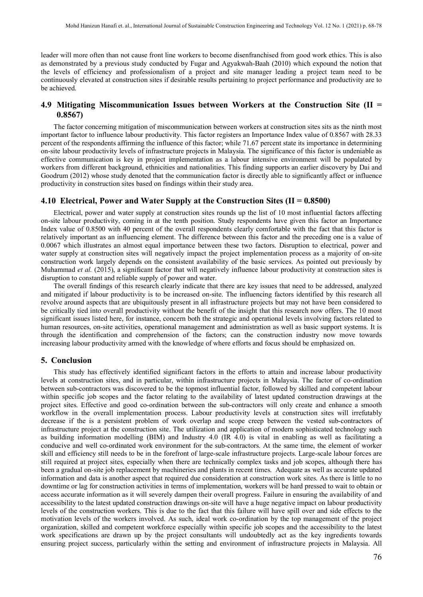leader will more often than not cause front line workers to become disenfranchised from good work ethics. This is also as demonstrated by a previous study conducted by Fugar and Agyakwah-Baah (2010) which expound the notion that the levels of efficiency and professionalism of a project and site manager leading a project team need to be continuously elevated at construction sites if desirable results pertaining to project performance and productivity are to be achieved.

## **4.9 Mitigating Miscommunication Issues between Workers at the Construction Site (II = 0.8567)**

The factor concerning mitigation of miscommunication between workers at construction sites sits as the ninth most important factor to influence labour productivity. This factor registers an Importance Index value of 0.8567 with 28.33 percent of the respondents affirming the influence of this factor; while 71.67 percent state its importance in determining on-site labour productivity levels of infrastructure projects in Malaysia. The significance of this factor is undeniable as effective communication is key in project implementation as a labour intensive environment will be populated by workers from different background, ethnicities and nationalities. This finding supports an earlier discovery by Dai and Goodrum (2012) whose study denoted that the communication factor is directly able to significantly affect or influence productivity in construction sites based on findings within their study area.

## **4.10 Electrical, Power and Water Supply at the Construction Sites (II = 0.8500)**

Electrical, power and water supply at construction sites rounds up the list of 10 most influential factors affecting on-site labour productivity, coming in at the tenth position. Study respondents have given this factor an Importance Index value of 0.8500 with 40 percent of the overall respondents clearly comfortable with the fact that this factor is relatively important as an influencing element. The difference between this factor and the preceding one is a value of 0.0067 which illustrates an almost equal importance between these two factors. Disruption to electrical, power and water supply at construction sites will negatively impact the project implementation process as a majority of on-site construction work largely depends on the consistent availability of the basic services. As pointed out previously by Muhammad *et al.* (2015), a significant factor that will negatively influence labour productivity at construction sites is disruption to constant and reliable supply of power and water.

The overall findings of this research clearly indicate that there are key issues that need to be addressed, analyzed and mitigated if labour productivity is to be increased on-site. The influencing factors identified by this research all revolve around aspects that are ubiquitously present in all infrastructure projects but may not have been considered to be critically tied into overall productivity without the benefit of the insight that this research now offers. The 10 most significant issues listed here, for instance, concern both the strategic and operational levels involving factors related to human resources, on-site activities, operational management and administration as well as basic support systems. It is through the identification and comprehension of the factors; can the construction industry now move towards increasing labour productivity armed with the knowledge of where efforts and focus should be emphasized on.

#### **5. Conclusion**

This study has effectively identified significant factors in the efforts to attain and increase labour productivity levels at construction sites, and in particular, within infrastructure projects in Malaysia. The factor of co-ordination between sub-contractors was discovered to be the topmost influential factor, followed by skilled and competent labour within specific job scopes and the factor relating to the availability of latest updated construction drawings at the project sites. Effective and good co-ordination between the sub-contractors will only create and enhance a smooth workflow in the overall implementation process. Labour productivity levels at construction sites will irrefutably decrease if the is a persistent problem of work overlap and scope creep between the vested sub-contractors of infrastructure project at the construction site. The utilization and application of modern sophisticated technology such as building information modelling (BIM) and Industry 4.0 (IR 4.0) is vital in enabling as well as facilitating a conducive and well co-ordinated work environment for the sub-contractors. At the same time, the element of worker skill and efficiency still needs to be in the forefront of large-scale infrastructure projects. Large-scale labour forces are still required at project sites, especially when there are technically complex tasks and job scopes, although there has been a gradual on-site job replacement by machineries and plants in recent times. Adequate as well as accurate updated information and data is another aspect that required due consideration at construction work sites. As there is little to no downtime or lag for construction activities in terms of implementation, workers will be hard pressed to wait to obtain or access accurate information as it will severely dampen their overall progress. Failure in ensuring the availability of and accessibility to the latest updated construction drawings on-site will have a huge negative impact on labour productivity levels of the construction workers. This is due to the fact that this failure will have spill over and side effects to the motivation levels of the workers involved. As such, ideal work co-ordination by the top management of the project organization, skilled and competent workforce especially within specific job scopes and the accessibility to the latest work specifications are drawn up by the project consultants will undoubtedly act as the key ingredients towards ensuring project success, particularly within the setting and environment of infrastructure projects in Malaysia. All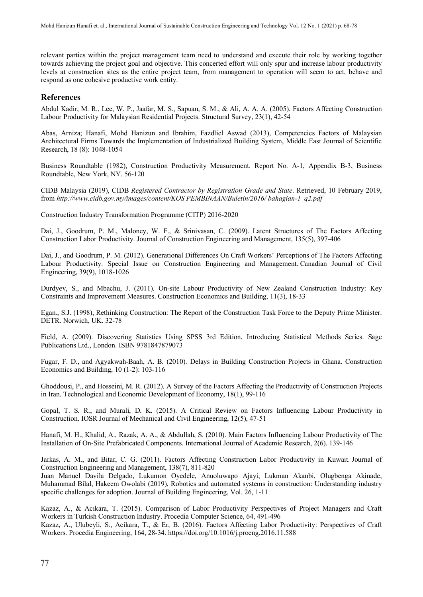relevant parties within the project management team need to understand and execute their role by working together towards achieving the project goal and objective. This concerted effort will only spur and increase labour productivity levels at construction sites as the entire project team, from management to operation will seem to act, behave and respond as one cohesive productive work entity.

## **References**

Abdul Kadir, M. R., Lee, W. P., Jaafar, M. S., Sapuan, S. M., & Ali, A. A. A. (2005). Factors Affecting Construction Labour Productivity for Malaysian Residential Projects. Structural Survey, 23(1), 42-54

Abas, Arniza; Hanafi, Mohd Hanizun and Ibrahim, Fazdliel Aswad (2013), Competencies Factors of Malaysian Architectural Firms Towards the Implementation of Industrialized Building System, Middle East Journal of Scientific Research, 18 (8): 1048-1054

Business Roundtable (1982), Construction Productivity Measurement. Report No. A-1, Appendix B-3, Business Roundtable, New York, NY. 56-120

CIDB Malaysia (2019), CIDB *Registered Contractor by Registration Grade and State*. Retrieved, 10 February 2019, from *[http://www.cidb.gov.my/images/content/KOS PEMBINAAN/Buletin/2016/ bahagian-1\\_q2.pdf](http://www.cidb.gov.my/images/content/KOS%20PEMBINAAN/Buletin/2016/%20bahagian-1_q2.pdf)*

Construction Industry Transformation Programme (CITP) 2016-2020

Dai, J., Goodrum, P. M., Maloney, W. F., & Srinivasan, C. (2009). Latent Structures of The Factors Affecting Construction Labor Productivity. Journal of Construction Engineering and Management, 135(5), 397-406

Dai, J., and Goodrum, P. M. (2012). Generational Differences On Craft Workers' Perceptions of The Factors Affecting Labour Productivity. Special Issue on Construction Engineering and Management. Canadian Journal of Civil Engineering, 39(9), 1018-1026

Durdyev, S., and Mbachu, J. (2011). On-site Labour Productivity of New Zealand Construction Industry: Key Constraints and Improvement Measures. Construction Economics and Building, 11(3), 18-33

Egan., S.J. (1998), Rethinking Construction: The Report of the Construction Task Force to the Deputy Prime Minister. DETR. Norwich, UK. 32-78

Field, A. (2009). Discovering Statistics Using SPSS 3rd Edition, [Introducing Statistical Methods Series.](https://www.google.com.my/search?tbo=p&tbm=bks&q=bibliogroup:%22Introducing+Statistical+Methods+Series%22&source=gbs_metadata_r&cad=4) Sage Publications Ltd., London. ISBN 9781847879073

Fugar, F. D., and Agyakwah-Baah, A. B. (2010). Delays in Building Construction Projects in Ghana. Construction Economics and Building, 10 (1-2): 103-116

Ghoddousi, P., and Hosseini, M. R. (2012). A Survey of the Factors Affecting the Productivity of Construction Projects in Iran. Technological and Economic Development of Economy, 18(1), 99-116

Gopal, T. S. R., and Murali, D. K. (2015). A Critical Review on Factors Influencing Labour Productivity in Construction. IOSR Journal of Mechanical and Civil Engineering, 12(5), 47-51

Hanafi, M. H., Khalid, A., Razak, A. A., & Abdullah, S. (2010). Main Factors Influencing Labour Productivity of The Installation of On-Site Prefabricated Components. International Journal of Academic Research, 2(6). 139-146

Jarkas, A. M., and Bitar, C. G. (2011). Factors Affecting Construction Labor Productivity in Kuwait. Journal of Construction Engineering and Management, 138(7), 811-820

Juan Manuel Davila Delgado, Lukumon Oyedele, Anuoluwapo Ajayi, Lukman Akanbi, Olugbenga Akinade, Muhammad Bilal, Hakeem Owolabi (2019), Robotics and automated systems in construction: Understanding industry specific challenges for adoption. Journal of Building Engineering, Vol. 26, 1-11

Kazaz, A., & Acıkara, T. (2015). Comparison of Labor Productivity Perspectives of Project Managers and Craft Workers in Turkish Construction Industry. Procedia Computer Science, 64, 491-496

Kazaz, A., Ulubeyli, S., Acikara, T., & Er, B. (2016). Factors Affecting Labor Productivity: Perspectives of Craft Workers. Procedia Engineering, 164, 28-34[. https://doi.org/10.1016/j.proeng.2016.11.588](https://doi.org/10.1016/j.proeng.2016.11.588)